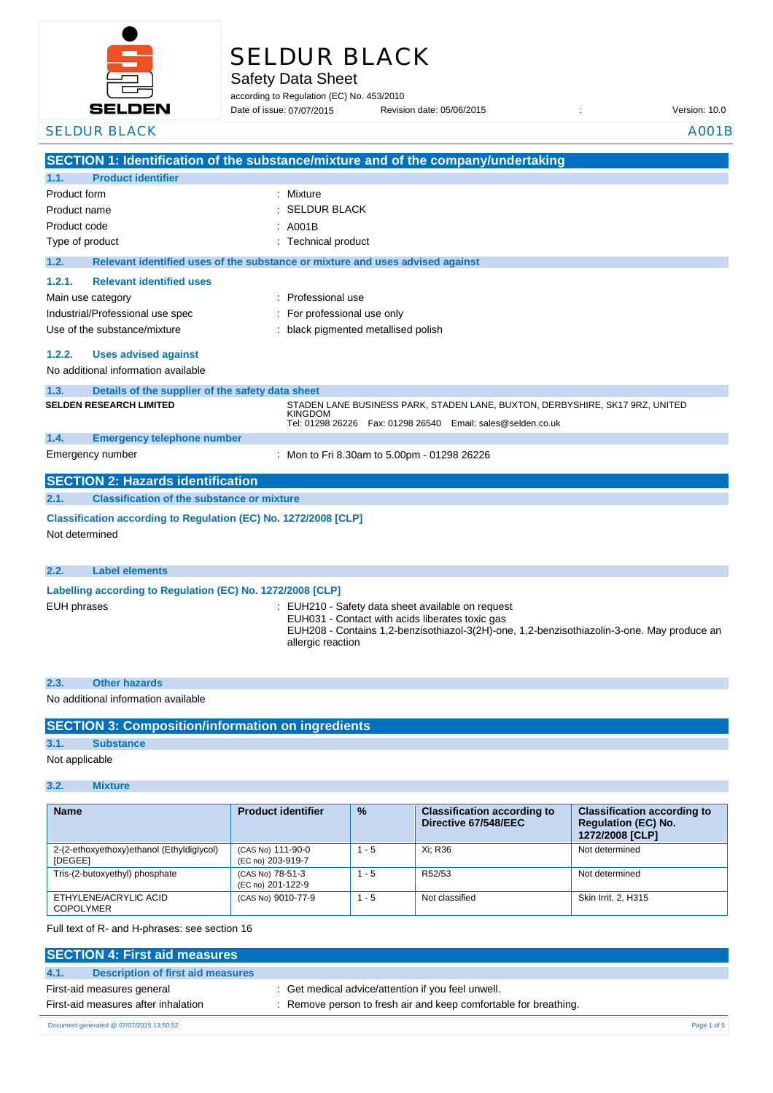

# SELDUR BLACK

Safety Data Sheet

according to Regulation (EC) No. 453/2010

Date of issue: Revision date: 05/06/2015 : Version: 10.0 07/07/2015

**SECTION 1: Identification of the substance/mixture and of the company/undertaking 1.1. Product identifier** Product form : Nixture : Mixture Product name : Product code : Type of product in the contract of the contract of the Technical product **1.2. Relevant identified uses of the substance or mixture and uses advised against 1.2.1. Relevant identified uses**  Main use category **intervalled** and the category of the category of the category of the category of the category Industrial/Professional use spec : For professional use only Use of the substance/mixture : black pigmented metallised polish **1.2.2. Uses advised against** No additional information available **1.3. Details of the supplier of the safety data sheet 1.4. Emergency telephone number** Emergency number : **SECTION 2: Hazards identification 2.1. Classification of the substance or mixture Classification according to Regulation (EC) No. 1272/2008 [CLP]** Not determined **2.2. Label elements Labelling according to Regulation (EC) No. 1272/2008 [CLP]** EUH phrases **EUH210** - Safety data sheet available on request EUH031 - Contact with acids liberates toxic gas SELDUR BLACK AND ANNOUNCED AND ACCOUNT AND ACCOUNT AND ACCOUNT AND ACCOUNT ACCOUNT ACCOUNT ACCOUNT ACCOUNT ACCOUNT ACCOUNT ACCOUNT ACCOUNT ACCOUNT ACCOUNT ACCOUNT ACCOUNT ACCOUNT ACCOUNT ACCOUNT ACCOUNT ACCOUNT ACCOUNT ACC SELDUR BLACK : A001B **SELDEN RESEARCH LIMITED** STADEN LANE BUSINESS PARK, STADEN LANE, BUXTON, DERBYSHIRE, SK17 9RZ, UNITED KINGDOM Tel: 01298 26226 Fax: 01298 26540 Email: sales@selden.co.uk Mon to Fri 8.30am to 5.00pm - 01298 26226

EUH208 - Contains 1,2-benzisothiazol-3(2H)-one, 1,2-benzisothiazolin-3-one. May produce an allergic reaction

**2.3. Other hazards** No additional information available

| <b>SECTION 3: Composition/information on ingredients</b> |  |
|----------------------------------------------------------|--|
|                                                          |  |
|                                                          |  |
|                                                          |  |

## **3.1. Substance**

Not applicable

### **3.2. Mixture**

| <b>Name</b>                                          | <b>Product identifier</b>              | $\frac{9}{6}$ | <b>Classification according to</b><br>Directive 67/548/EEC | <b>Classification according to</b><br><b>Regulation (EC) No.</b><br>1272/2008 [CLP] |
|------------------------------------------------------|----------------------------------------|---------------|------------------------------------------------------------|-------------------------------------------------------------------------------------|
| 2-(2-ethoxyethoxy)ethanol (Ethyldiglycol)<br>[DEGEE] | (CAS No) 111-90-0<br>(EC no) 203-919-7 | $1 - 5$       | Xi: R36                                                    | Not determined                                                                      |
| Tris-(2-butoxyethyl) phosphate                       | (CAS No) 78-51-3<br>(EC no) 201-122-9  | $1 - 5$       | R52/53                                                     | Not determined                                                                      |
| ETHYLENE/ACRYLIC ACID<br><b>COPOLYMER</b>            | (CAS No) 9010-77-9                     | $1 - 5$       | Not classified                                             | Skin Irrit, 2, H315                                                                 |

Full text of R- and H-phrases: see section 16

| <b>SECTION 4: First aid measures</b>      |                                                                  |             |
|-------------------------------------------|------------------------------------------------------------------|-------------|
| Description of first aid measures<br>4.1. |                                                                  |             |
| First-aid measures general                | : Get medical advice/attention if you feel unwell.               |             |
| First-aid measures after inhalation       | : Remove person to fresh air and keep comfortable for breathing. |             |
| Document generated @ 07/07/2015 13:50:52  |                                                                  | Page 1 of 5 |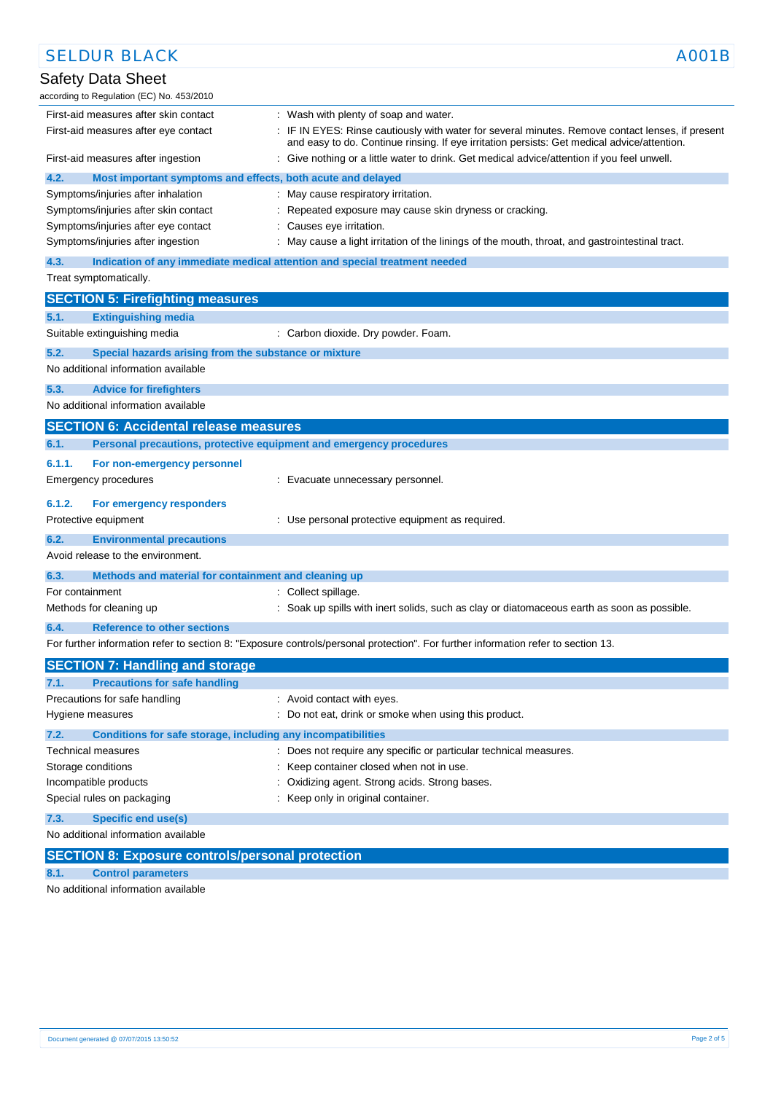| <b>SELDUR BLACK</b>                                                                                  | A001B                                                                                                                                                                                           |
|------------------------------------------------------------------------------------------------------|-------------------------------------------------------------------------------------------------------------------------------------------------------------------------------------------------|
| <b>Safety Data Sheet</b><br>according to Regulation (EC) No. 453/2010                                |                                                                                                                                                                                                 |
| First-aid measures after skin contact                                                                | : Wash with plenty of soap and water.                                                                                                                                                           |
| First-aid measures after eye contact                                                                 | : IF IN EYES: Rinse cautiously with water for several minutes. Remove contact lenses, if present<br>and easy to do. Continue rinsing. If eye irritation persists: Get medical advice/attention. |
| First-aid measures after ingestion                                                                   | : Give nothing or a little water to drink. Get medical advice/attention if you feel unwell.                                                                                                     |
| 4.2.<br>Most important symptoms and effects, both acute and delayed                                  |                                                                                                                                                                                                 |
| Symptoms/injuries after inhalation                                                                   | : May cause respiratory irritation.                                                                                                                                                             |
| Symptoms/injuries after skin contact                                                                 | Repeated exposure may cause skin dryness or cracking.                                                                                                                                           |
| Symptoms/injuries after eye contact                                                                  | : Causes eye irritation.                                                                                                                                                                        |
| Symptoms/injuries after ingestion                                                                    | : May cause a light irritation of the linings of the mouth, throat, and gastrointestinal tract.                                                                                                 |
| 4.3.                                                                                                 | Indication of any immediate medical attention and special treatment needed                                                                                                                      |
| Treat symptomatically.                                                                               |                                                                                                                                                                                                 |
| <b>SECTION 5: Firefighting measures</b>                                                              |                                                                                                                                                                                                 |
| <b>Extinguishing media</b><br>5.1.                                                                   |                                                                                                                                                                                                 |
| Suitable extinguishing media                                                                         | : Carbon dioxide. Dry powder. Foam.                                                                                                                                                             |
| 5.2.<br>Special hazards arising from the substance or mixture<br>No additional information available |                                                                                                                                                                                                 |
| 5.3.<br><b>Advice for firefighters</b>                                                               |                                                                                                                                                                                                 |
| No additional information available                                                                  |                                                                                                                                                                                                 |
| <b>SECTION 6: Accidental release measures</b>                                                        |                                                                                                                                                                                                 |
| 6.1.                                                                                                 | Personal precautions, protective equipment and emergency procedures                                                                                                                             |
|                                                                                                      |                                                                                                                                                                                                 |
| 6.1.1.<br>For non-emergency personnel                                                                |                                                                                                                                                                                                 |
| Emergency procedures                                                                                 | : Evacuate unnecessary personnel.                                                                                                                                                               |
| 6.1.2.<br>For emergency responders                                                                   |                                                                                                                                                                                                 |
| Protective equipment                                                                                 | : Use personal protective equipment as required.                                                                                                                                                |
| 6.2.<br><b>Environmental precautions</b>                                                             |                                                                                                                                                                                                 |
| Avoid release to the environment.                                                                    |                                                                                                                                                                                                 |
| Methods and material for containment and cleaning up<br>6.3.                                         |                                                                                                                                                                                                 |
| For containment                                                                                      |                                                                                                                                                                                                 |
| Methods for cleaning up                                                                              | : Collect spillage.<br>: Soak up spills with inert solids, such as clay or diatomaceous earth as soon as possible.                                                                              |
|                                                                                                      |                                                                                                                                                                                                 |
| 6.4.<br><b>Reference to other sections</b>                                                           |                                                                                                                                                                                                 |
|                                                                                                      | For further information refer to section 8: "Exposure controls/personal protection". For further information refer to section 13.                                                               |
| <b>SECTION 7: Handling and storage</b>                                                               |                                                                                                                                                                                                 |
| <b>Precautions for safe handling</b><br>7.1.                                                         |                                                                                                                                                                                                 |
| Precautions for safe handling                                                                        | : Avoid contact with eyes.                                                                                                                                                                      |
| Hygiene measures                                                                                     | : Do not eat, drink or smoke when using this product.                                                                                                                                           |
| 7.2.<br>Conditions for safe storage, including any incompatibilities                                 |                                                                                                                                                                                                 |
| Technical measures                                                                                   | : Does not require any specific or particular technical measures.                                                                                                                               |
| Storage conditions                                                                                   | Keep container closed when not in use.                                                                                                                                                          |
| Incompatible products                                                                                | Oxidizing agent. Strong acids. Strong bases.                                                                                                                                                    |
| Special rules on packaging                                                                           | : Keep only in original container.                                                                                                                                                              |
| 7.3.<br><b>Specific end use(s)</b>                                                                   |                                                                                                                                                                                                 |
| No additional information available                                                                  |                                                                                                                                                                                                 |
|                                                                                                      |                                                                                                                                                                                                 |
| <b>SECTION 8: Exposure controls/personal protection</b>                                              |                                                                                                                                                                                                 |
| <b>Control parameters</b><br>8.1.                                                                    |                                                                                                                                                                                                 |

No additional information available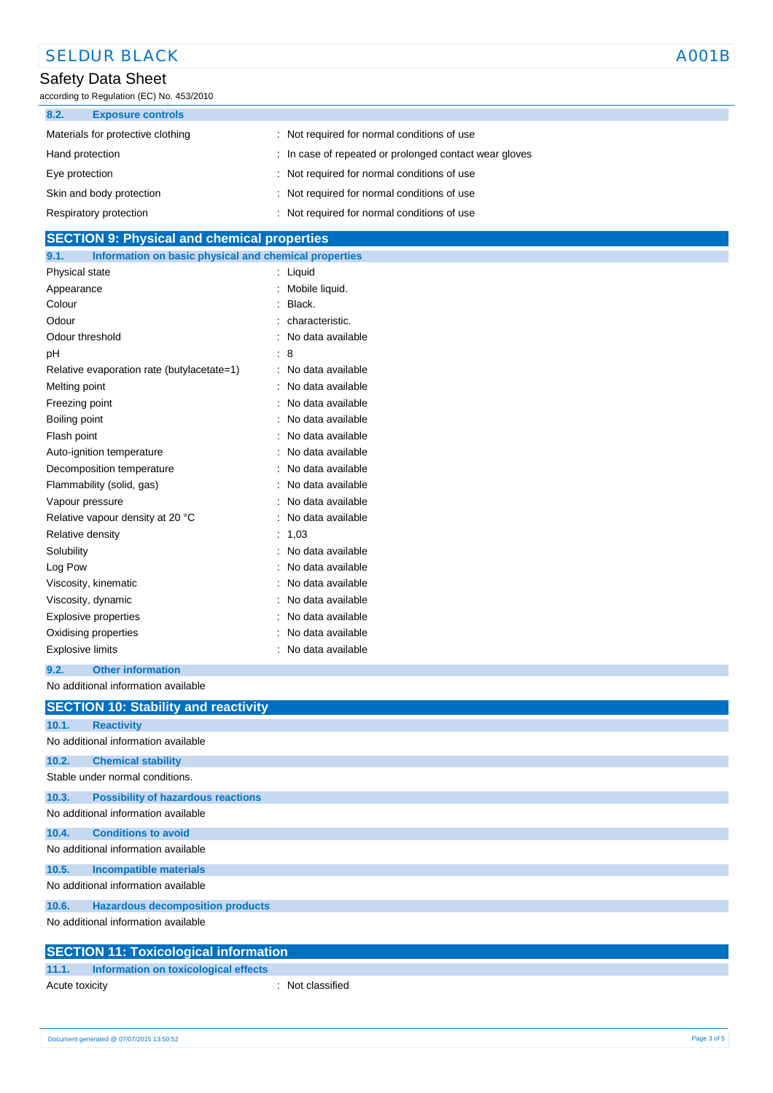| <b>SELDUR BLACK</b>                                            |                                                        | A001B |
|----------------------------------------------------------------|--------------------------------------------------------|-------|
| Safety Data Sheet<br>according to Regulation (EC) No. 453/2010 |                                                        |       |
| 8.2.<br><b>Exposure controls</b>                               |                                                        |       |
| Materials for protective clothing                              | : Not required for normal conditions of use            |       |
| Hand protection                                                | : In case of repeated or prolonged contact wear gloves |       |
| Eye protection                                                 | : Not required for normal conditions of use            |       |
| Skin and body protection                                       | : Not required for normal conditions of use            |       |
| Respiratory protection                                         | : Not required for normal conditions of use            |       |

| <b>SECTION 9: Physical and chemical properties</b>            |                     |
|---------------------------------------------------------------|---------------------|
| 9.1.<br>Information on basic physical and chemical properties |                     |
| Physical state                                                | : Liquid            |
| Appearance                                                    | : Mobile liquid.    |
| Colour                                                        | : Black.            |
| Odour                                                         | : characteristic.   |
| Odour threshold                                               | : No data available |
| pH                                                            | $\therefore$ 8      |
| Relative evaporation rate (butylacetate=1)                    | : No data available |
| Melting point                                                 | : No data available |
| Freezing point                                                | : No data available |
| Boiling point                                                 | : No data available |
| Flash point                                                   | : No data available |
| Auto-ignition temperature                                     | : No data available |
| Decomposition temperature                                     | : No data available |
| Flammability (solid, gas)                                     | : No data available |
| Vapour pressure                                               | : No data available |
| Relative vapour density at 20 °C                              | : No data available |
| Relative density                                              | : 1,03              |
| Solubility                                                    | : No data available |
| Log Pow                                                       | : No data available |
| Viscosity, kinematic                                          | : No data available |
| Viscosity, dynamic                                            | : No data available |
| <b>Explosive properties</b>                                   | : No data available |

### **9.2. Other information**

No additional information available

Oxidising properties **in the contract of the Contract August** 2011 : No data available Explosive limits **Explosive Limits Explosive Limits Explosive Limits Explosive Limits EXPLOSIVE 2018** 

|       | <b>SECTION 10: Stability and reactivity</b> |
|-------|---------------------------------------------|
| 10.1. | <b>Reactivity</b>                           |
|       | No additional information available         |
| 10.2. | <b>Chemical stability</b>                   |
|       | Stable under normal conditions.             |
| 10.3. | <b>Possibility of hazardous reactions</b>   |
|       | No additional information available         |
| 10.4. | <b>Conditions to avoid</b>                  |
|       | No additional information available         |
| 10.5. | <b>Incompatible materials</b>               |
|       | No additional information available         |
| 10.6. | <b>Hazardous decomposition products</b>     |
|       | No additional information available         |
|       |                                             |

| <b>SECTION 11: Toxicological information</b> |                                      |  |                  |  |
|----------------------------------------------|--------------------------------------|--|------------------|--|
| 11.1.                                        | Information on toxicological effects |  |                  |  |
| Acute toxicity                               |                                      |  | : Not classified |  |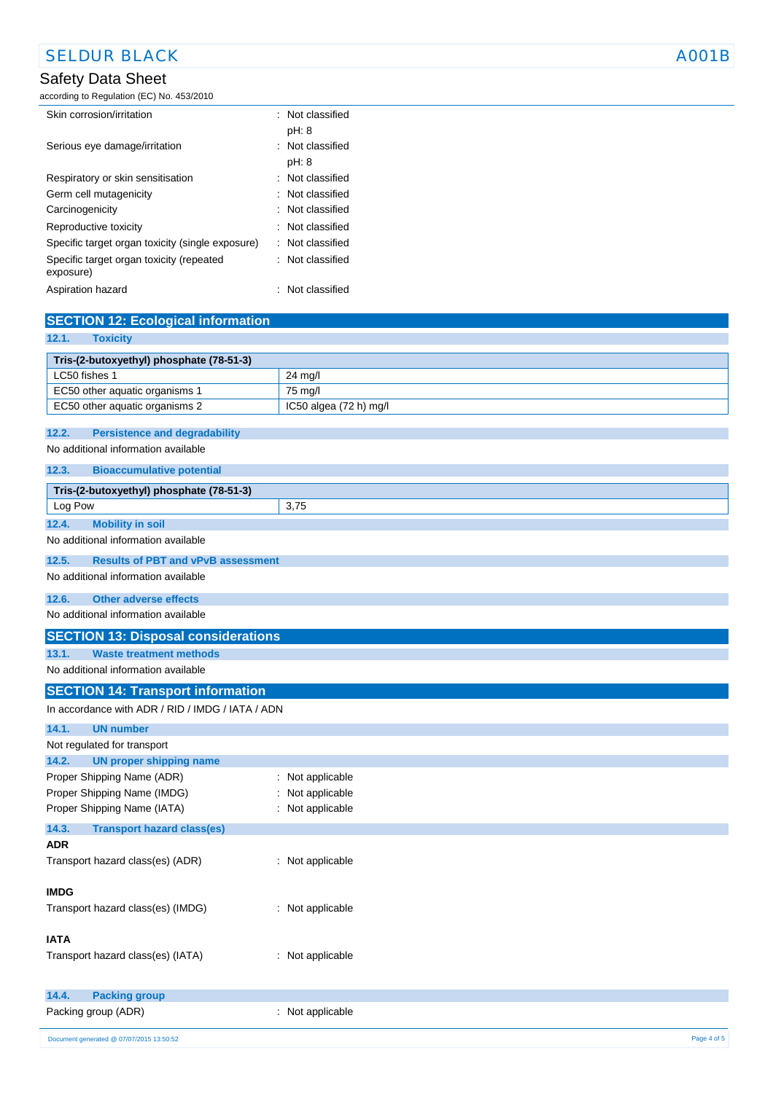# Safety Data Sheet

according to Regulation (EC) No. 453/2010

| Skin corrosion/irritation                             |  | $\therefore$ Not classified |
|-------------------------------------------------------|--|-----------------------------|
|                                                       |  | pH: 8                       |
| Serious eye damage/irritation                         |  | : Not classified            |
|                                                       |  | pH: 8                       |
| Respiratory or skin sensitisation                     |  | $\therefore$ Not classified |
| Germ cell mutagenicity                                |  | : Not classified            |
| Carcinogenicity                                       |  | $\therefore$ Not classified |
| Reproductive toxicity                                 |  | $\therefore$ Not classified |
| Specific target organ toxicity (single exposure)      |  | : Not classified            |
| Specific target organ toxicity (repeated<br>exposure) |  | : Not classified            |
| Aspiration hazard                                     |  | Not classified              |

| <b>SECTION 12: Ecological information</b>          |                        |  |
|----------------------------------------------------|------------------------|--|
| 12.1.<br><b>Toxicity</b>                           |                        |  |
| Tris-(2-butoxyethyl) phosphate (78-51-3)           |                        |  |
| LC50 fishes 1                                      | 24 mg/l                |  |
| EC50 other aquatic organisms 1                     | 75 mg/l                |  |
| EC50 other aquatic organisms 2                     | IC50 algea (72 h) mg/l |  |
|                                                    |                        |  |
| 12.2.<br><b>Persistence and degradability</b>      |                        |  |
| No additional information available                |                        |  |
| 12.3.<br><b>Bioaccumulative potential</b>          |                        |  |
| Tris-(2-butoxyethyl) phosphate (78-51-3)           |                        |  |
| Log Pow                                            | 3,75                   |  |
| <b>Mobility in soil</b><br>12.4.                   |                        |  |
| No additional information available                |                        |  |
| 12.5.<br><b>Results of PBT and vPvB assessment</b> |                        |  |
| No additional information available                |                        |  |
| <b>Other adverse effects</b><br>12.6.              |                        |  |
| No additional information available                |                        |  |
| <b>SECTION 13: Disposal considerations</b>         |                        |  |
| 13.1.<br><b>Waste treatment methods</b>            |                        |  |
| No additional information available                |                        |  |
| <b>SECTION 14: Transport information</b>           |                        |  |
| In accordance with ADR / RID / IMDG / IATA / ADN   |                        |  |
| <b>UN number</b><br>14.1.                          |                        |  |
| Not regulated for transport                        |                        |  |
| <b>UN proper shipping name</b><br>14.2.            |                        |  |
| Proper Shipping Name (ADR)<br>t.                   | Not applicable         |  |
| Proper Shipping Name (IMDG)<br>÷                   | Not applicable         |  |
| Proper Shipping Name (IATA)                        | : Not applicable       |  |
| 14.3.<br><b>Transport hazard class(es)</b>         |                        |  |
| ADR                                                |                        |  |
| Transport hazard class(es) (ADR)                   | : Not applicable       |  |
| IMDG.                                              |                        |  |
| Transport hazard class(es) (IMDG)                  | : Not applicable       |  |
|                                                    |                        |  |
| <b>IATA</b>                                        |                        |  |
| Transport hazard class(es) (IATA)                  | : Not applicable       |  |
|                                                    |                        |  |
| 14.4.<br><b>Packing group</b>                      |                        |  |
| Packing group (ADR)                                | Not applicable         |  |